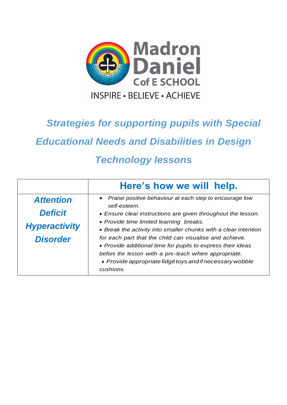

## *Strategies for supporting pupils with Special*

*Educational Needs and Disabilities in Design* 

## *Technology lessons*

|                      | Here's how we will help.                                                                                                                                                        |
|----------------------|---------------------------------------------------------------------------------------------------------------------------------------------------------------------------------|
| <b>Attention</b>     | • Praise positive behaviour at each step to encourage low<br>self-esteem.                                                                                                       |
| <b>Deficit</b>       | • Ensure clear instructions are given throughout the lesson.                                                                                                                    |
| <b>Hyperactivity</b> | • Provide time limited learning breaks.<br>• Break the activity into smaller chunks with a clear intention                                                                      |
| <b>Disorder</b>      | for each part that the child can visualise and achieve.<br>• Provide additional time for pupils to express their ideas<br>before the lesson with a pre-teach where appropriate. |
|                      | • Provide appropriate fidgit toys and if necessary wobble<br>cushions.                                                                                                          |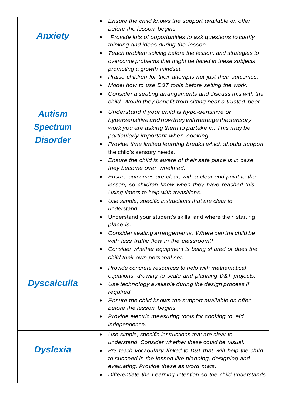|                 | Ensure the child knows the support available on offer<br>$\bullet$                              |
|-----------------|-------------------------------------------------------------------------------------------------|
|                 | before the lesson begins.                                                                       |
| <b>Anxiety</b>  | Provide lots of opportunities to ask questions to clarify                                       |
|                 | thinking and ideas during the lesson.                                                           |
|                 | Teach problem solving before the lesson, and strategies to<br>$\bullet$                         |
|                 | overcome problems that might be faced in these subjects                                         |
|                 | promoting a growth mindset.                                                                     |
|                 | Praise children for their attempts not just their outcomes.                                     |
|                 | Model how to use D&T tools before setting the work.                                             |
|                 | Consider a seating arrangements and discuss this with the<br>٠                                  |
|                 | child. Would they benefit from sitting near a trusted peer.                                     |
| <b>Autism</b>   | Understand if your child is hypo-sensitive or<br>٠                                              |
|                 | hypersensitive and how they will manage the sensory                                             |
| <b>Spectrum</b> | work you are asking them to partake in. This may be                                             |
| <b>Disorder</b> | particularly important when cooking.                                                            |
|                 | Provide time limited learning breaks which should support<br>$\bullet$                          |
|                 | the child's sensory needs.                                                                      |
|                 | Ensure the child is aware of their safe place is in case<br>$\bullet$                           |
|                 | they become over whelmed.                                                                       |
|                 | Ensure outcomes are clear, with a clear end point to the<br>$\bullet$                           |
|                 | lesson, so children know when they have reached this.<br>Using timers to help with transitions. |
|                 | Use simple, specific instructions that are clear to<br>٠                                        |
|                 | understand.                                                                                     |
|                 | Understand your student's skills, and where their starting<br>place is.                         |
|                 | Consider seating arrangements. Where can the child be                                           |
|                 | with less traffic flow in the classroom?                                                        |
|                 | Consider whether equipment is being shared or does the<br>٠                                     |
|                 | child their own personal set.                                                                   |
|                 | Provide concrete resources to help with mathematical<br>$\bullet$                               |
|                 | equations, drawing to scale and planning D&T projects.                                          |
| Dyscalculia     | Use technology available during the design process if                                           |
|                 | required.                                                                                       |
|                 | Ensure the child knows the support available on offer                                           |
|                 | before the lesson begins.                                                                       |
|                 | Provide electric measuring tools for cooking to aid                                             |
|                 | independence.                                                                                   |
|                 | Use simple, specific instructions that are clear to<br>٠                                        |
|                 | understand. Consider whether these could be visual.                                             |
| <b>Dyslexia</b> | Pre-teach vocabulary linked to D&T that will help the child                                     |
|                 | to succeed in the lesson like planning, designing and                                           |
|                 | evaluating. Provide these as word mats.                                                         |
|                 | Differentiate the Learning Intention so the child understands                                   |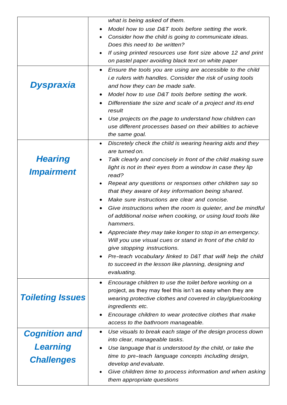|                         | what is being asked of them.                                                           |
|-------------------------|----------------------------------------------------------------------------------------|
|                         | Model how to use D&T tools before setting the work.                                    |
|                         |                                                                                        |
|                         | Consider how the child is going to communicate ideas.<br>Does this need to be written? |
|                         | If using printed resources use font size above 12 and print                            |
|                         | on pastel paper avoiding black text on white paper                                     |
|                         |                                                                                        |
|                         | Ensure the tools you are using are accessible to the child<br>$\bullet$                |
| Dyspraxia               | <i>i.e rulers with handles. Consider the risk of using tools</i>                       |
|                         | and how they can be made safe.                                                         |
|                         | Model how to use D&T tools before setting the work.                                    |
|                         | Differentiate the size and scale of a project and its end<br>result                    |
|                         | Use projects on the page to understand how children can                                |
|                         | use different processes based on their abilities to achieve                            |
|                         | the same goal.                                                                         |
|                         | Discretely check the child is wearing hearing aids and they<br>$\bullet$               |
|                         | are turned on.                                                                         |
| <b>Hearing</b>          | Talk clearly and concisely in front of the child making sure                           |
|                         | light is not in their eyes from a window in case they lip                              |
| <b>Impairment</b>       | read?                                                                                  |
|                         | Repeat any questions or responses other children say so                                |
|                         | that they aware of key information being shared.                                       |
|                         | Make sure instructions are clear and concise.                                          |
|                         | Give instructions when the room is quieter, and be mindful                             |
|                         | of additional noise when cooking, or using loud tools like                             |
|                         | hammers.                                                                               |
|                         | Appreciate they may take longer to stop in an emergency.                               |
|                         | Will you use visual cues or stand in front of the child to                             |
|                         | give stopping instructions.                                                            |
|                         | Pre-teach vocabulary linked to D&T that will help the child                            |
|                         | to succeed in the lesson like planning, designing and                                  |
|                         | evaluating.                                                                            |
|                         | Encourage children to use the toilet before working on a<br>$\bullet$                  |
|                         | project, as they may feel this isn't as easy when they are                             |
| <b>Toileting Issues</b> | wearing protective clothes and covered in clay/glue/cooking                            |
|                         | ingredients etc.                                                                       |
|                         | Encourage children to wear protective clothes that make                                |
|                         | access to the bathroom manageable.                                                     |
| <b>Cognition and</b>    | Use visuals to break each stage of the design process down<br>$\bullet$                |
| <b>Learning</b>         | into clear, manageable tasks.                                                          |
|                         | Use language that is understood by the child, or take the                              |
| <b>Challenges</b>       | time to pre-teach language concepts including design,<br>develop and evaluate.         |
|                         | Give children time to process information and when asking                              |
|                         | them appropriate questions                                                             |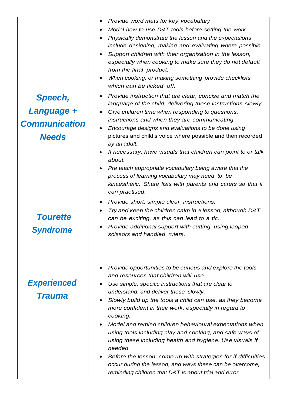| <b>Speech,</b><br>Language +<br><b>Communication</b><br><b>Needs</b> | Provide word mats for key vocabulary<br>$\bullet$<br>Model how to use D&T tools before setting the work.<br>Physically demonstrate the lesson and the expectations<br>include designing, making and evaluating where possible.<br>Support children with their organisation in the lesson,<br>especially when cooking to make sure they do not default<br>from the final product.<br>When cooking, or making something provide checklists<br>which can be ticked off.<br>Provide instruction that are clear, concise and match the<br>$\bullet$<br>language of the child, delivering these instructions slowly.<br>Give children time when responding to questions,<br>instructions and when they are communicating<br>Encourage designs and evaluations to be done using<br>pictures and child's voice where possible and then recorded<br>by an adult.<br>If necessary, have visuals that children can point to or talk<br>about.<br>Pre teach appropriate vocabulary being aware that the<br>process of learning vocabulary may need to be<br>kinaesthetic. Share lists with parents and carers so that it<br>can practised.<br>Provide short, simple clear instructions.<br>Try and keep the children calm in a lesson, although D&T |
|----------------------------------------------------------------------|-----------------------------------------------------------------------------------------------------------------------------------------------------------------------------------------------------------------------------------------------------------------------------------------------------------------------------------------------------------------------------------------------------------------------------------------------------------------------------------------------------------------------------------------------------------------------------------------------------------------------------------------------------------------------------------------------------------------------------------------------------------------------------------------------------------------------------------------------------------------------------------------------------------------------------------------------------------------------------------------------------------------------------------------------------------------------------------------------------------------------------------------------------------------------------------------------------------------------------------------|
| <b>Tourette</b><br>Syndrome                                          | can be exciting, as this can lead to a tic.<br>Provide additional support with cutting, using looped<br>scissors and handled rulers.                                                                                                                                                                                                                                                                                                                                                                                                                                                                                                                                                                                                                                                                                                                                                                                                                                                                                                                                                                                                                                                                                                    |
| <b>Experienced</b><br><b>Trauma</b>                                  | Provide opportunities to be curious and explore the tools<br>$\bullet$<br>and resources that children will use.<br>Use simple, specific instructions that are clear to<br>understand, and deliver these slowly.<br>Slowly build up the tools a child can use, as they become<br>more confident in their work, especially in regard to<br>cooking.<br>Model and remind children behavioural expectations when<br>using tools including clay and cooking, and safe ways of<br>using these including health and hygiene. Use visuals if<br>needed.<br>Before the lesson, come up with strategies for if difficulties<br>occur during the lesson, and ways these can be overcome,<br>reminding children that D&T is about trial and error.                                                                                                                                                                                                                                                                                                                                                                                                                                                                                                  |